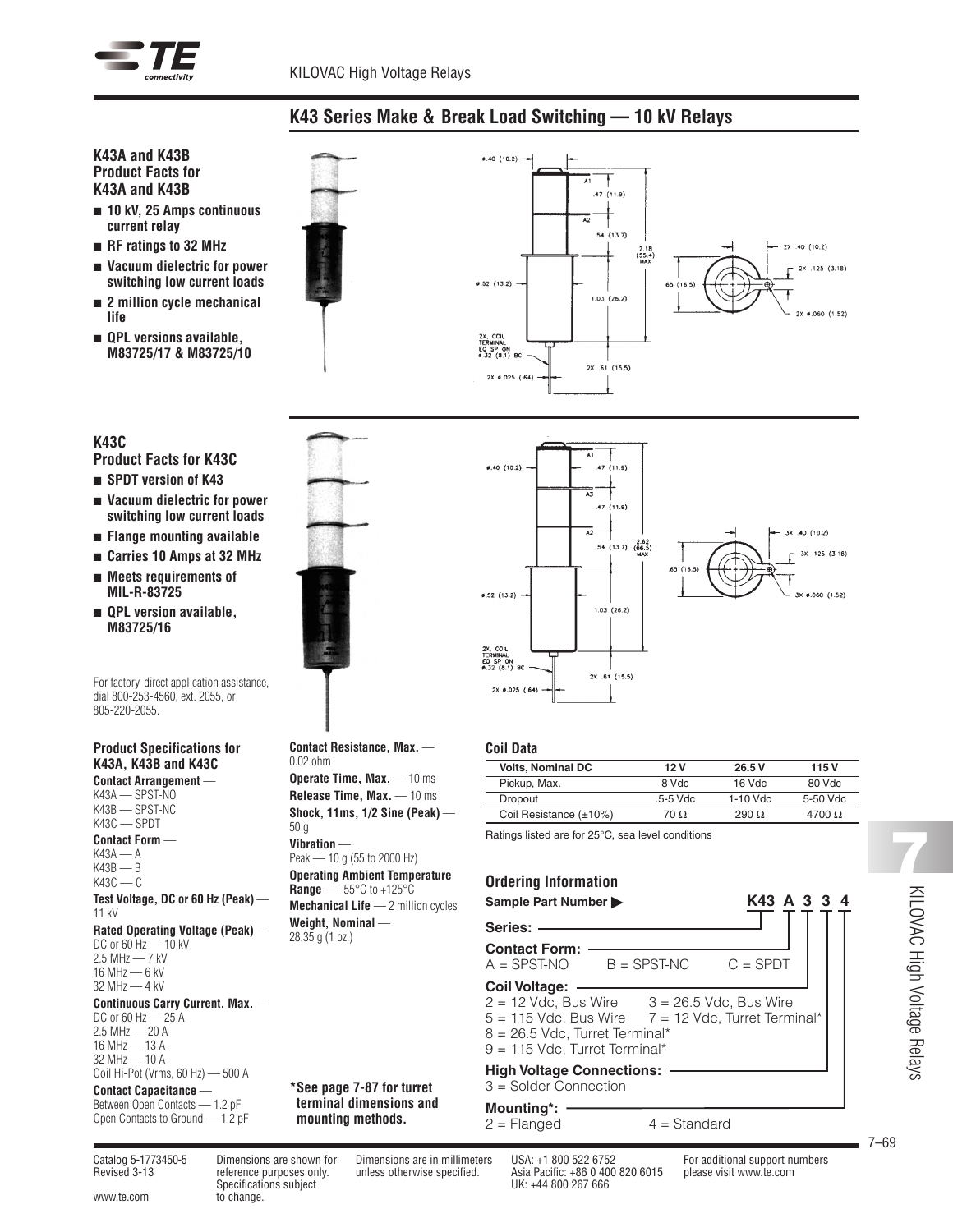

# **K43 Series Make & Break Load Switching — 10 kV Relays**

## **K43A and K43B Product Facts for K43A and K43B**

- <sup>n</sup> **10 kV, 25 Amps continuous current relay**
- <sup>n</sup> **RF ratings to 32 MHz**
- <sup>n</sup> **Vacuum dielectric for power switching low current loads**
- <sup>n</sup> **2 million cycle mechanical life**
- <sup>n</sup> **QPL versions available, M83725/17 & M83725/10**





- **Product Facts for K43C**
- <sup>n</sup> **SPDT version of K43**
- <sup>n</sup> **Vacuum dielectric for power switching low current loads**
- <sup>n</sup> **Flange mounting available**
- <sup>n</sup> **Carries 10 Amps at 32 MHz**
- <sup>n</sup> **Meets requirements of MIL-R-83725**
- <sup>n</sup> **QPL version available, M83725/16**

For factory-direct application assistance, dial 800-253-4560, ext. 2055, or 805-220-2055.

#### **Product Specifications for K43A, K43B and K43C Contact Arrangement** —

K43A — SPST-NO K43B — SPST-NC K43C — SPDT **Contact Form** — K43A — A  $K43B - B$  $K43C - C$ **Test Voltage, DC or 60 Hz (Peak)** — 11 kV **Rated Operating Voltage (Peak)** — DC or 60 Hz — 10 kV  $2.5$  MHz  $- 7$  kV 16 MHz — 6 kV 32 MHz — 4 kV **Continuous Carry Current, Max.** — DC or 60 Hz - 25 A  $2.5$  MHz  $-20$  A 16 MHz — 13 A 32 MHz — 10 A Coil Hi-Pot (Vrms, 60 Hz) — 500 A

# **Contact Capacitance** —

Between Open Contacts — 1.2 pF Open Contacts to Ground — 1.2 pF



| <b>Contact Resistance, Max.</b> -<br>0.02 ohm                                              |
|--------------------------------------------------------------------------------------------|
| <b>Operate Time, Max.</b> — 10 ms                                                          |
| <b>Release Time, Max.</b> — 10 ms                                                          |
| Shock, 11ms, $1/2$ Sine (Peak) $-$<br>50 a                                                 |
| Vihration -                                                                                |
| Peak - 10 g (55 to 2000 Hz)                                                                |
| <b>Operating Ambient Temperature</b><br><b>Range</b> — -55 $\degree$ C to +125 $\degree$ C |
| <b>Mechanical Life</b> $-2$ million cycles                                                 |
| Weight, Nominal -<br>28.35 g (1 oz.)                                                       |
|                                                                                            |
|                                                                                            |
|                                                                                            |
|                                                                                            |
|                                                                                            |
|                                                                                            |
| *See page 7-87 for turret                                                                  |
| terminal dimensions and                                                                    |
| mounting methods.                                                                          |



## **Coil Data**

| <b>Volts, Nominal DC</b>     | 12 V     | 26.5 V     | 115 V    |
|------------------------------|----------|------------|----------|
| Pickup, Max.                 | 8 Vdc    | $16$ Vdc   | 80 Vdc   |
| Dropout                      | .5-5 Vdc | $1-10$ Vdc | 5-50 Vdc |
| Coil Resistance $(\pm 10\%)$ | 70 O     | 290 Q      | 4700 Q   |

Ratings listed are for 25°C, sea level conditions

# **Ordering Information**

| K43 A 3 3 4<br>Sample Part Number                                                                                                                                                                 |  |  |  |  |  |  |  |  |  |
|---------------------------------------------------------------------------------------------------------------------------------------------------------------------------------------------------|--|--|--|--|--|--|--|--|--|
| Series:                                                                                                                                                                                           |  |  |  |  |  |  |  |  |  |
| <b>Contact Form:</b><br>$A = SPST-NO$ $B = SPST-NC$<br>$C = SPDT$                                                                                                                                 |  |  |  |  |  |  |  |  |  |
| Coil Voltage:<br>$2 = 12$ Vdc, Bus Wire $3 = 26.5$ Vdc, Bus Wire<br>$5 = 115$ Vdc, Bus Wire $7 = 12$ Vdc, Turret Terminal*<br>$8 = 26.5$ Vdc. Turret Terminal*<br>$9 = 115$ Vdc. Turret Terminal* |  |  |  |  |  |  |  |  |  |
| <b>High Voltage Connections:</b><br>3 = Solder Connection                                                                                                                                         |  |  |  |  |  |  |  |  |  |
| $M_{211}$ $M_{32}$                                                                                                                                                                                |  |  |  |  |  |  |  |  |  |

 $4 =$ Standard

# **Mounting\*:**<br>2 = Flanged

www.te.com to change.

Specifications subject UK: +44 800 267 666

Catalog 5-1773450-5 Dimensions are shown for Dimensions are in millimeters USA: +1 800 522 6752 For additional support numbers Revised 3-13 reference purposes only. unless otherwise specified. Asia Pacific: +86 0 400 820 6015 please visit www.te.com

7–69

**7**